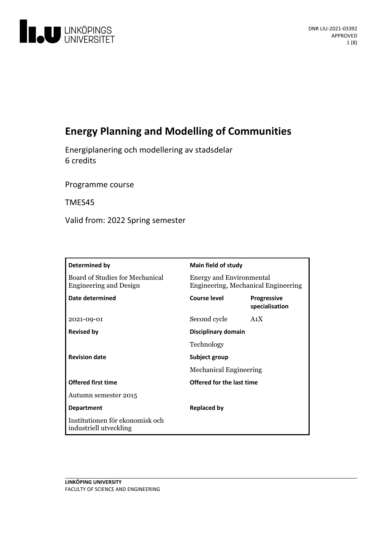

# **Energy Planning and Modelling of Communities**

Energiplanering och modelleringav stadsdelar 6 credits

Programme course

TMES45

Valid from: 2022 Spring semester

| Determined by                                                    | Main field of study                                                    |                                      |
|------------------------------------------------------------------|------------------------------------------------------------------------|--------------------------------------|
| Board of Studies for Mechanical<br><b>Engineering and Design</b> | <b>Energy and Environmental</b><br>Engineering, Mechanical Engineering |                                      |
| Date determined                                                  | Course level                                                           | <b>Progressive</b><br>specialisation |
| 2021-09-01                                                       | Second cycle                                                           | A <sub>1</sub> X                     |
| <b>Revised by</b>                                                | Disciplinary domain                                                    |                                      |
|                                                                  | Technology                                                             |                                      |
| <b>Revision date</b>                                             | Subject group<br><b>Mechanical Engineering</b>                         |                                      |
|                                                                  |                                                                        |                                      |
| <b>Offered first time</b>                                        | Offered for the last time                                              |                                      |
| Autumn semester 2015                                             |                                                                        |                                      |
| <b>Department</b>                                                | <b>Replaced by</b>                                                     |                                      |
| Institutionen för ekonomisk och<br>industriell utveckling        |                                                                        |                                      |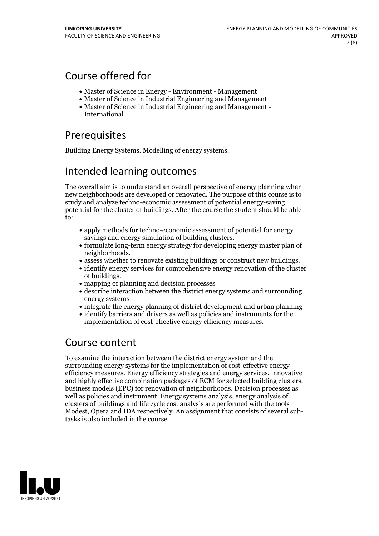## Course offered for

- Master of Science in Energy Environment Management
- Master of Science in Industrial Engineering and Management
- Master of Science in Industrial Engineering and Management International

# **Prerequisites**

Building Energy Systems. Modelling of energy systems.

## Intended learning outcomes

The overall aim is to understand an overall perspective of energy planning when new neighborhoods are developed orrenovated. The purpose of this course is to study and analyze techno-economic assessment of potential energy-saving potential for the cluster of buildings. After the course the student should be able to:

- apply methods for techno-economic assessment of potential for energy
- savings and energy simulation of building clusters.<br>• formulate long-term energy strategy for developing energy master plan of
- neighborhoods.<br>• assess whether to renovate existing buildings or construct new buildings.<br>• identify energy services for comprehensive energy renovation of the cluster
- of buildings. mapping of planning and decision processes
- 
- describe interaction between the district energy systems and surrounding energy systems
- integrate the energy planning of district development and urban planning
- identify barriers and drivers as well as policies and instruments for the implementation of cost-effective energy efficiency measures.

## Course content

To examine the interaction between the district energy system and the surrounding energy systems for the implementation of cost-effective energy efficiency measures. Energy efficiency strategies and energy services, innovative and highly effective combination packages of ECM for selected building clusters, business models (EPC) for renovation of neighborhoods. Decision processes as well as policies and instrument. Energy systems analysis, energy analysis of clusters of buildings and life cycle cost analysis are performed with the tools Modest, Opera and IDA respectively. An assignment that consists of several subtasks is also included in the course.

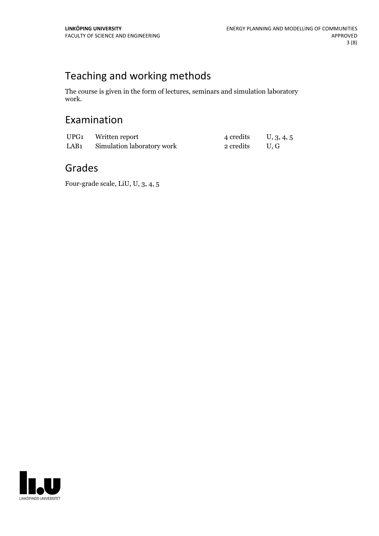# Teaching and working methods

The course is given in the form of lectures, seminars and simulation laboratory work.

# Examination

| UPG1 Written report             | $4 \text{ credits} \qquad \text{U}, 3, 4, 5$ |  |
|---------------------------------|----------------------------------------------|--|
| LAB1 Simulation laboratory work | 2 credits U.G                                |  |

## Grades

Four-grade scale, LiU, U, 3, 4, 5

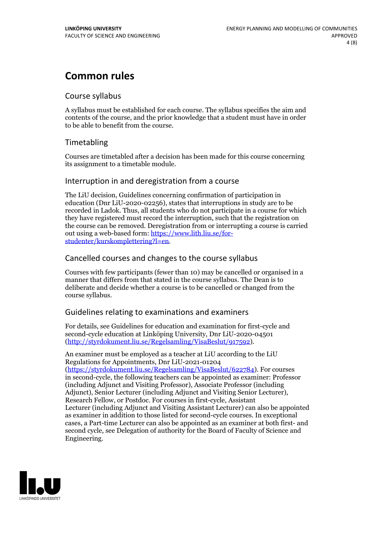# **Common rules**

## Course syllabus

A syllabus must be established for each course. The syllabus specifies the aim and contents of the course, and the prior knowledge that a student must have in order to be able to benefit from the course.

## Timetabling

Courses are timetabled after a decision has been made for this course concerning its assignment to a timetable module.

## Interruption in and deregistration from a course

The LiU decision, Guidelines concerning confirmation of participation in education (Dnr LiU-2020-02256), states that interruptions in study are to be recorded in Ladok. Thus, all students who do not participate in a course for which they have registered must record the interruption, such that the registration on the course can be removed. Deregistration from or interrupting a course is carried out using <sup>a</sup> web-based form: https://www.lith.liu.se/for- [studenter/kurskomplettering?l=en.](https://www.lith.liu.se/for-studenter/kurskomplettering?l=en)

## Cancelled coursesand changes to the course syllabus

Courses with few participants (fewer than 10) may be cancelled or organised in a manner that differs from that stated in the course syllabus. The Dean is to deliberate and decide whether a course is to be cancelled or changed from the course syllabus.

## Guidelines relating to examinations and examiners

For details, see Guidelines for education and examination for first-cycle and second-cycle education at Linköping University, Dnr LiU-2020-04501 [\(http://styrdokument.liu.se/Regelsamling/VisaBeslut/917592\)](http://styrdokument.liu.se/Regelsamling/VisaBeslut/917592).

An examiner must be employed as a teacher at LiU according to the LiU Regulations for Appointments, Dnr LiU-2021-01204 [\(https://styrdokument.liu.se/Regelsamling/VisaBeslut/622784](https://styrdokument.liu.se/Regelsamling/VisaBeslut/622784)). For courses in second-cycle, the following teachers can be appointed as examiner: Professor (including Adjunct and Visiting Professor), Associate Professor (including Adjunct), Senior Lecturer (including Adjunct and Visiting Senior Lecturer), Research Fellow, or Postdoc. For courses in first-cycle, Assistant Lecturer (including Adjunct and Visiting Assistant Lecturer) can also be appointed as examiner in addition to those listed for second-cycle courses. In exceptional cases, a Part-time Lecturer can also be appointed as an examiner at both first- and second cycle, see Delegation of authority for the Board of Faculty of Science and Engineering.

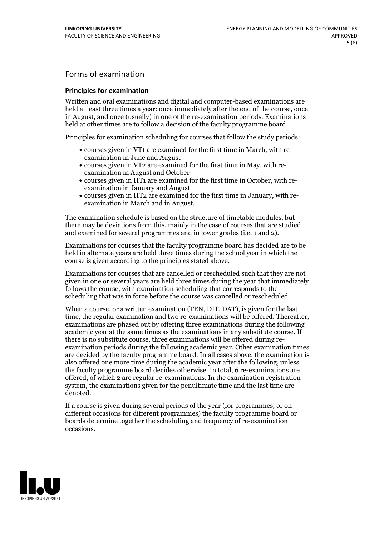## Forms of examination

### **Principles for examination**

Written and oral examinations and digital and computer-based examinations are held at least three times a year: once immediately after the end of the course, once in August, and once (usually) in one of the re-examination periods. Examinations held at other times are to follow a decision of the faculty programme board.

Principles for examination scheduling for courses that follow the study periods:

- courses given in VT1 are examined for the first time in March, with re-examination in June and August
- courses given in VT2 are examined for the first time in May, with re-examination in August and October
- courses given in HT1 are examined for the first time in October, with re-examination in January and August
- courses given in HT2 are examined for the first time in January, with re-examination in March and in August.

The examination schedule is based on the structure of timetable modules, but there may be deviations from this, mainly in the case of courses that are studied and examined for several programmes and in lower grades (i.e. 1 and 2).

Examinations for courses that the faculty programme board has decided are to be held in alternate years are held three times during the school year in which the course is given according to the principles stated above.

Examinations for courses that are cancelled orrescheduled such that they are not given in one or several years are held three times during the year that immediately follows the course, with examination scheduling that corresponds to the scheduling that was in force before the course was cancelled or rescheduled.

When a course, or a written examination (TEN, DIT, DAT), is given for the last time, the regular examination and two re-examinations will be offered. Thereafter, examinations are phased out by offering three examinations during the following academic year at the same times as the examinations in any substitute course. If there is no substitute course, three examinations will be offered during re- examination periods during the following academic year. Other examination times are decided by the faculty programme board. In all cases above, the examination is also offered one more time during the academic year after the following, unless the faculty programme board decides otherwise. In total, 6 re-examinations are offered, of which 2 are regular re-examinations. In the examination registration system, the examinations given for the penultimate time and the last time are denoted.

If a course is given during several periods of the year (for programmes, or on different occasions for different programmes) the faculty programme board or boards determine together the scheduling and frequency of re-examination occasions.

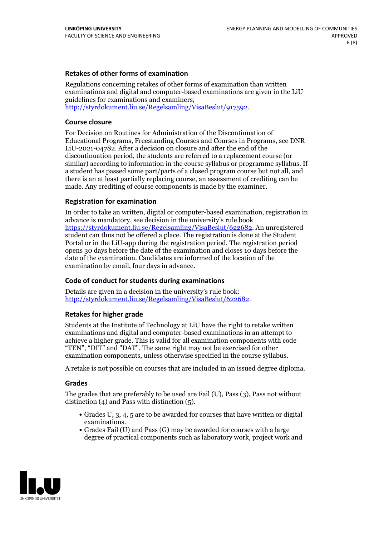### **Retakes of other forms of examination**

Regulations concerning retakes of other forms of examination than written examinations and digital and computer-based examinations are given in the LiU guidelines for examinations and examiners, [http://styrdokument.liu.se/Regelsamling/VisaBeslut/917592.](http://styrdokument.liu.se/Regelsamling/VisaBeslut/917592)

### **Course closure**

For Decision on Routines for Administration of the Discontinuation of Educational Programs, Freestanding Courses and Courses in Programs, see DNR LiU-2021-04782. After a decision on closure and after the end of the discontinuation period, the students are referred to a replacement course (or similar) according to information in the course syllabus or programme syllabus. If a student has passed some part/parts of a closed program course but not all, and there is an at least partially replacing course, an assessment of crediting can be made. Any crediting of course components is made by the examiner.

### **Registration for examination**

In order to take an written, digital or computer-based examination, registration in advance is mandatory, see decision in the university's rule book [https://styrdokument.liu.se/Regelsamling/VisaBeslut/622682.](https://styrdokument.liu.se/Regelsamling/VisaBeslut/622682) An unregistered student can thus not be offered a place. The registration is done at the Student Portal or in the LiU-app during the registration period. The registration period opens 30 days before the date of the examination and closes 10 days before the date of the examination. Candidates are informed of the location of the examination by email, four days in advance.

### **Code of conduct for students during examinations**

Details are given in a decision in the university's rule book: <http://styrdokument.liu.se/Regelsamling/VisaBeslut/622682>.

### **Retakes for higher grade**

Students at the Institute of Technology at LiU have the right to retake written examinations and digital and computer-based examinations in an attempt to achieve a higher grade. This is valid for all examination components with code "TEN", "DIT" and "DAT". The same right may not be exercised for other examination components, unless otherwise specified in the course syllabus.

A retake is not possible on courses that are included in an issued degree diploma.

### **Grades**

The grades that are preferably to be used are Fail (U), Pass (3), Pass not without distinction  $(4)$  and Pass with distinction  $(5)$ .

- Grades U, 3, 4, 5 are to be awarded for courses that have written or digital examinations.<br>• Grades Fail (U) and Pass (G) may be awarded for courses with a large
- degree of practical components such as laboratory work, project work and

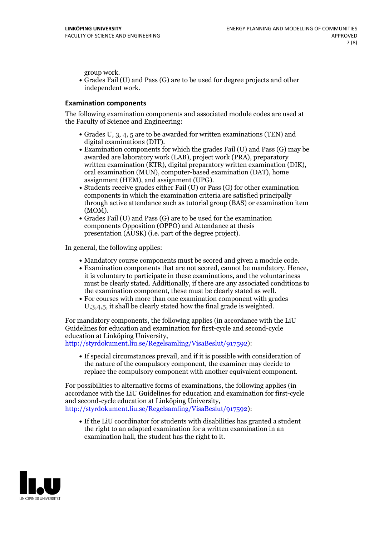group work.<br>• Grades Fail (U) and Pass (G) are to be used for degree projects and other independent work.

### **Examination components**

The following examination components and associated module codes are used at the Faculty of Science and Engineering:

- Grades U, 3, 4, 5 are to be awarded for written examinations (TEN) and
- digital examinations (DIT).<br>• Examination components for which the grades Fail (U) and Pass (G) may be awarded are laboratory work (LAB), project work (PRA), preparatory written examination (KTR), digital preparatory written examination (DIK), oral examination (MUN), computer-based examination (DAT), home
- assignment (HEM), and assignment (UPG).<br>• Students receive grades either Fail (U) or Pass (G) for other examination components in which the examination criteria are satisfied principally through active attendance such as tutorial group (BAS) or examination item
- (MOM).<br>• Grades Fail (U) and Pass (G) are to be used for the examination components Opposition (OPPO) and Attendance at thesis presentation (AUSK) (i.e. part of the degree project).

In general, the following applies:

- 
- Mandatory course components must be scored and given <sup>a</sup> module code. Examination components that are not scored, cannot be mandatory. Hence, it is voluntary to participate in these examinations, and the voluntariness must be clearly stated. Additionally, if there are any associated conditions to
- the examination component, these must be clearly stated as well.<br>• For courses with more than one examination component with grades U,3,4,5, it shall be clearly stated how the final grade is weighted.

For mandatory components, the following applies (in accordance with the LiU Guidelines for education and examination for first-cycle and second-cycle

[http://styrdokument.liu.se/Regelsamling/VisaBeslut/917592\)](http://styrdokument.liu.se/Regelsamling/VisaBeslut/917592):

If special circumstances prevail, and if it is possible with consideration of the nature of the compulsory component, the examiner may decide to replace the compulsory component with another equivalent component.

For possibilities to alternative forms of examinations, the following applies (in accordance with the LiU Guidelines for education and examination for first-cycle [http://styrdokument.liu.se/Regelsamling/VisaBeslut/917592\)](http://styrdokument.liu.se/Regelsamling/VisaBeslut/917592):

If the LiU coordinator for students with disabilities has granted a student the right to an adapted examination for a written examination in an examination hall, the student has the right to it.